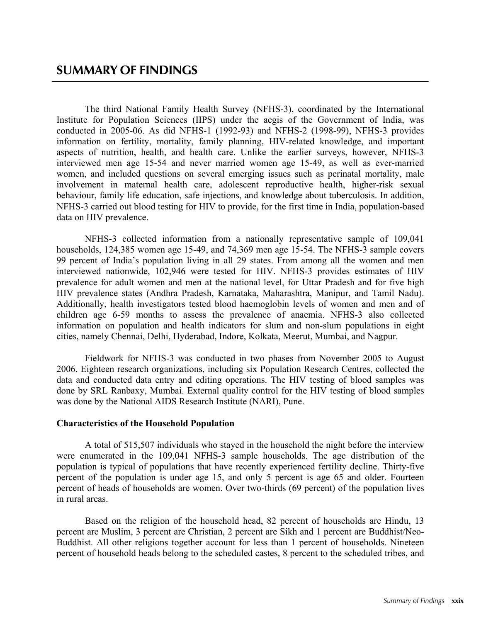The third National Family Health Survey (NFHS-3), coordinated by the International Institute for Population Sciences (IIPS) under the aegis of the Government of India, was conducted in 2005-06. As did NFHS-1 (1992-93) and NFHS-2 (1998-99), NFHS-3 provides information on fertility, mortality, family planning, HIV-related knowledge, and important aspects of nutrition, health, and health care. Unlike the earlier surveys, however, NFHS-3 interviewed men age 15-54 and never married women age 15-49, as well as ever-married women, and included questions on several emerging issues such as perinatal mortality, male involvement in maternal health care, adolescent reproductive health, higher-risk sexual behaviour, family life education, safe injections, and knowledge about tuberculosis. In addition, NFHS-3 carried out blood testing for HIV to provide, for the first time in India, population-based data on HIV prevalence.

NFHS-3 collected information from a nationally representative sample of 109,041 households, 124,385 women age 15-49, and 74,369 men age 15-54. The NFHS-3 sample covers 99 percent of India's population living in all 29 states. From among all the women and men interviewed nationwide, 102,946 were tested for HIV. NFHS-3 provides estimates of HIV prevalence for adult women and men at the national level, for Uttar Pradesh and for five high HIV prevalence states (Andhra Pradesh, Karnataka, Maharashtra, Manipur, and Tamil Nadu). Additionally, health investigators tested blood haemoglobin levels of women and men and of children age 6-59 months to assess the prevalence of anaemia. NFHS-3 also collected information on population and health indicators for slum and non-slum populations in eight cities, namely Chennai, Delhi, Hyderabad, Indore, Kolkata, Meerut, Mumbai, and Nagpur.

Fieldwork for NFHS-3 was conducted in two phases from November 2005 to August 2006. Eighteen research organizations, including six Population Research Centres, collected the data and conducted data entry and editing operations. The HIV testing of blood samples was done by SRL Ranbaxy, Mumbai. External quality control for the HIV testing of blood samples was done by the National AIDS Research Institute (NARI), Pune.

# **Characteristics of the Household Population**

A total of 515,507 individuals who stayed in the household the night before the interview were enumerated in the 109,041 NFHS-3 sample households. The age distribution of the population is typical of populations that have recently experienced fertility decline. Thirty-five percent of the population is under age 15, and only 5 percent is age 65 and older. Fourteen percent of heads of households are women. Over two-thirds (69 percent) of the population lives in rural areas.

Based on the religion of the household head, 82 percent of households are Hindu, 13 percent are Muslim, 3 percent are Christian, 2 percent are Sikh and 1 percent are Buddhist/Neo-Buddhist. All other religions together account for less than 1 percent of households. Nineteen percent of household heads belong to the scheduled castes, 8 percent to the scheduled tribes, and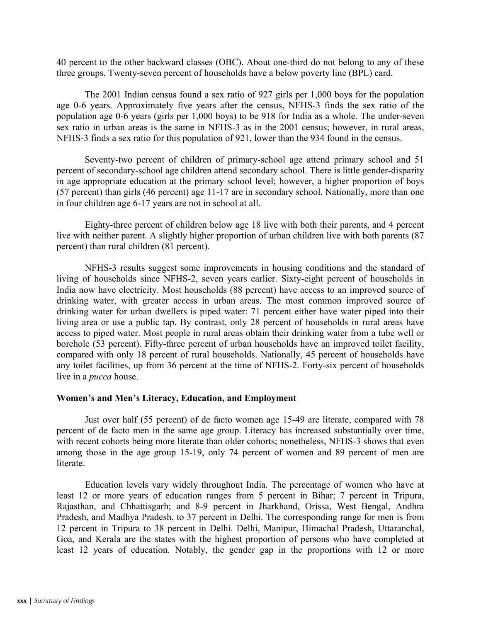40 percent to the other backward classes (OBC). About one-third do not belong to any of these three groups. Twenty-seven percent of households have a below poverty line (BPL) card.

The 2001 Indian census found a sex ratio of 927 girls per 1,000 boys for the population age 0-6 years. Approximately five years after the census, NFHS-3 finds the sex ratio of the population age 0-6 years (girls per 1,000 boys) to be 918 for India as a whole. The under-seven sex ratio in urban areas is the same in NFHS-3 as in the 2001 census; however, in rural areas, NFHS-3 finds a sex ratio for this population of 921, lower than the 934 found in the census.

Seventy-two percent of children of primary-school age attend primary school and 51 percent of secondary-school age children attend secondary school. There is little gender-disparity in age appropriate education at the primary school level; however, a higher proportion of boys (57 percent) than girls (46 percent) age 11-17 are in secondary school. Nationally, more than one in four children age 6-17 years are not in school at all.

Eighty-three percent of children below age 18 live with both their parents, and 4 percent live with neither parent. A slightly higher proportion of urban children live with both parents (87 percent) than rural children (81 percent).

NFHS-3 results suggest some improvements in housing conditions and the standard of living of households since NFHS-2, seven years earlier. Sixty-eight percent of households in India now have electricity. Most households (88 percent) have access to an improved source of drinking water, with greater access in urban areas. The most common improved source of drinking water for urban dwellers is piped water: 71 percent either have water piped into their living area or use a public tap. By contrast, only 28 percent of households in rural areas have access to piped water. Most people in rural areas obtain their drinking water from a tube well or borehole (53 percent). Fifty-three percent of urban households have an improved toilet facility, compared with only 18 percent of rural households. Nationally, 45 percent of households have any toilet facilities, up from 36 percent at the time of NFHS-2. Forty-six percent of households live in a *pucca* house.

# **Women's and Men's Literacy, Education, and Employment**

Just over half (55 percent) of de facto women age 15-49 are literate, compared with 78 percent of de facto men in the same age group. Literacy has increased substantially over time, with recent cohorts being more literate than older cohorts; nonetheless, NFHS-3 shows that even among those in the age group 15-19, only 74 percent of women and 89 percent of men are literate.

Education levels vary widely throughout India. The percentage of women who have at least 12 or more years of education ranges from 5 percent in Bihar; 7 percent in Tripura, Rajasthan, and Chhattisgarh; and 8-9 percent in Jharkhand, Orissa, West Bengal, Andhra Pradesh, and Madhya Pradesh, to 37 percent in Delhi. The corresponding range for men is from 12 percent in Tripura to 38 percent in Delhi. Delhi, Manipur, Himachal Pradesh, Uttaranchal, Goa, and Kerala are the states with the highest proportion of persons who have completed at least 12 years of education. Notably, the gender gap in the proportions with 12 or more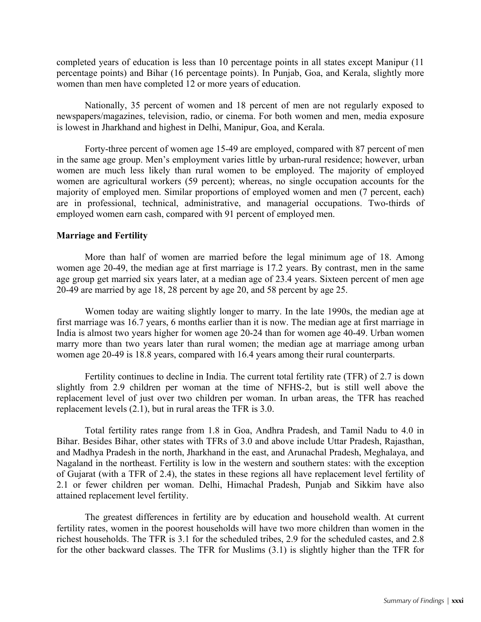completed years of education is less than 10 percentage points in all states except Manipur (11 percentage points) and Bihar (16 percentage points). In Punjab, Goa, and Kerala, slightly more women than men have completed 12 or more years of education.

Nationally, 35 percent of women and 18 percent of men are not regularly exposed to newspapers/magazines, television, radio, or cinema. For both women and men, media exposure is lowest in Jharkhand and highest in Delhi, Manipur, Goa, and Kerala.

Forty-three percent of women age 15-49 are employed, compared with 87 percent of men in the same age group. Men's employment varies little by urban-rural residence; however, urban women are much less likely than rural women to be employed. The majority of employed women are agricultural workers (59 percent); whereas, no single occupation accounts for the majority of employed men. Similar proportions of employed women and men (7 percent, each) are in professional, technical, administrative, and managerial occupations. Two-thirds of employed women earn cash, compared with 91 percent of employed men.

### **Marriage and Fertility**

More than half of women are married before the legal minimum age of 18. Among women age 20-49, the median age at first marriage is 17.2 years. By contrast, men in the same age group get married six years later, at a median age of 23.4 years. Sixteen percent of men age 20-49 are married by age 18, 28 percent by age 20, and 58 percent by age 25.

Women today are waiting slightly longer to marry. In the late 1990s, the median age at first marriage was 16.7 years, 6 months earlier than it is now. The median age at first marriage in India is almost two years higher for women age 20-24 than for women age 40-49. Urban women marry more than two years later than rural women; the median age at marriage among urban women age 20-49 is 18.8 years, compared with 16.4 years among their rural counterparts.

Fertility continues to decline in India. The current total fertility rate (TFR) of 2.7 is down slightly from 2.9 children per woman at the time of NFHS-2, but is still well above the replacement level of just over two children per woman. In urban areas, the TFR has reached replacement levels (2.1), but in rural areas the TFR is 3.0.

Total fertility rates range from 1.8 in Goa, Andhra Pradesh, and Tamil Nadu to 4.0 in Bihar. Besides Bihar, other states with TFRs of 3.0 and above include Uttar Pradesh, Rajasthan, and Madhya Pradesh in the north, Jharkhand in the east, and Arunachal Pradesh, Meghalaya, and Nagaland in the northeast. Fertility is low in the western and southern states: with the exception of Gujarat (with a TFR of 2.4), the states in these regions all have replacement level fertility of 2.1 or fewer children per woman. Delhi, Himachal Pradesh, Punjab and Sikkim have also attained replacement level fertility.

The greatest differences in fertility are by education and household wealth. At current fertility rates, women in the poorest households will have two more children than women in the richest households. The TFR is 3.1 for the scheduled tribes, 2.9 for the scheduled castes, and 2.8 for the other backward classes. The TFR for Muslims (3.1) is slightly higher than the TFR for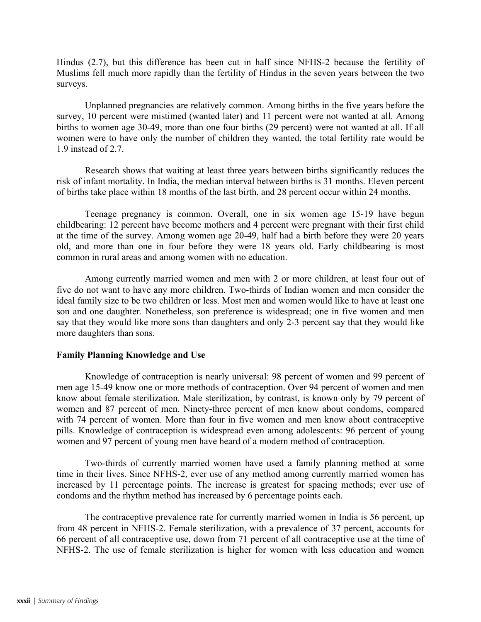Hindus (2.7), but this difference has been cut in half since NFHS-2 because the fertility of Muslims fell much more rapidly than the fertility of Hindus in the seven years between the two surveys.

Unplanned pregnancies are relatively common. Among births in the five years before the survey, 10 percent were mistimed (wanted later) and 11 percent were not wanted at all. Among births to women age 30-49, more than one four births (29 percent) were not wanted at all. If all women were to have only the number of children they wanted, the total fertility rate would be 1.9 instead of 2.7.

Research shows that waiting at least three years between births significantly reduces the risk of infant mortality. In India, the median interval between births is 31 months. Eleven percent of births take place within 18 months of the last birth, and 28 percent occur within 24 months.

Teenage pregnancy is common. Overall, one in six women age 15-19 have begun childbearing: 12 percent have become mothers and 4 percent were pregnant with their first child at the time of the survey. Among women age 20-49, half had a birth before they were 20 years old, and more than one in four before they were 18 years old. Early childbearing is most common in rural areas and among women with no education.

Among currently married women and men with 2 or more children, at least four out of five do not want to have any more children. Two-thirds of Indian women and men consider the ideal family size to be two children or less. Most men and women would like to have at least one son and one daughter. Nonetheless, son preference is widespread; one in five women and men say that they would like more sons than daughters and only 2-3 percent say that they would like more daughters than sons.

# **Family Planning Knowledge and Use**

Knowledge of contraception is nearly universal: 98 percent of women and 99 percent of men age 15-49 know one or more methods of contraception. Over 94 percent of women and men know about female sterilization. Male sterilization, by contrast, is known only by 79 percent of women and 87 percent of men. Ninety-three percent of men know about condoms, compared with 74 percent of women. More than four in five women and men know about contraceptive pills. Knowledge of contraception is widespread even among adolescents: 96 percent of young women and 97 percent of young men have heard of a modern method of contraception.

Two-thirds of currently married women have used a family planning method at some time in their lives. Since NFHS-2, ever use of any method among currently married women has increased by 11 percentage points. The increase is greatest for spacing methods; ever use of condoms and the rhythm method has increased by 6 percentage points each.

The contraceptive prevalence rate for currently married women in India is 56 percent, up from 48 percent in NFHS-2. Female sterilization, with a prevalence of 37 percent, accounts for 66 percent of all contraceptive use, down from 71 percent of all contraceptive use at the time of NFHS-2. The use of female sterilization is higher for women with less education and women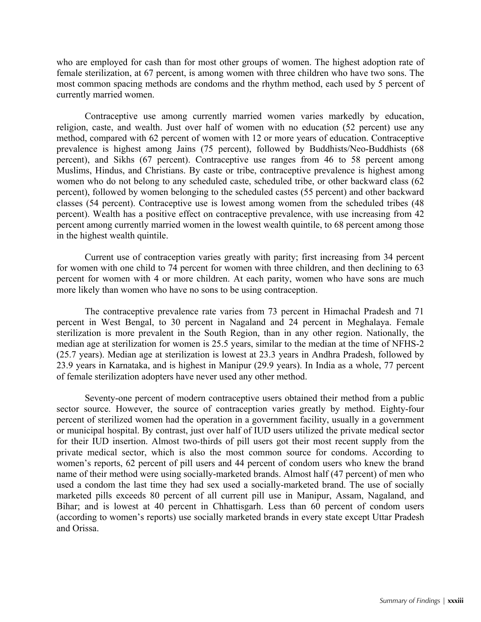who are employed for cash than for most other groups of women. The highest adoption rate of female sterilization, at 67 percent, is among women with three children who have two sons. The most common spacing methods are condoms and the rhythm method, each used by 5 percent of currently married women.

Contraceptive use among currently married women varies markedly by education, religion, caste, and wealth. Just over half of women with no education (52 percent) use any method, compared with 62 percent of women with 12 or more years of education. Contraceptive prevalence is highest among Jains (75 percent), followed by Buddhists/Neo-Buddhists (68 percent), and Sikhs (67 percent). Contraceptive use ranges from 46 to 58 percent among Muslims, Hindus, and Christians. By caste or tribe, contraceptive prevalence is highest among women who do not belong to any scheduled caste, scheduled tribe, or other backward class (62 percent), followed by women belonging to the scheduled castes (55 percent) and other backward classes (54 percent). Contraceptive use is lowest among women from the scheduled tribes (48 percent). Wealth has a positive effect on contraceptive prevalence, with use increasing from 42 percent among currently married women in the lowest wealth quintile, to 68 percent among those in the highest wealth quintile.

Current use of contraception varies greatly with parity; first increasing from 34 percent for women with one child to 74 percent for women with three children, and then declining to 63 percent for women with 4 or more children. At each parity, women who have sons are much more likely than women who have no sons to be using contraception.

The contraceptive prevalence rate varies from 73 percent in Himachal Pradesh and 71 percent in West Bengal, to 30 percent in Nagaland and 24 percent in Meghalaya. Female sterilization is more prevalent in the South Region, than in any other region. Nationally, the median age at sterilization for women is 25.5 years, similar to the median at the time of NFHS-2 (25.7 years). Median age at sterilization is lowest at 23.3 years in Andhra Pradesh, followed by 23.9 years in Karnataka, and is highest in Manipur (29.9 years). In India as a whole, 77 percent of female sterilization adopters have never used any other method.

Seventy-one percent of modern contraceptive users obtained their method from a public sector source. However, the source of contraception varies greatly by method. Eighty-four percent of sterilized women had the operation in a government facility, usually in a government or municipal hospital. By contrast, just over half of IUD users utilized the private medical sector for their IUD insertion. Almost two-thirds of pill users got their most recent supply from the private medical sector, which is also the most common source for condoms. According to women's reports, 62 percent of pill users and 44 percent of condom users who knew the brand name of their method were using socially-marketed brands. Almost half (47 percent) of men who used a condom the last time they had sex used a socially-marketed brand. The use of socially marketed pills exceeds 80 percent of all current pill use in Manipur, Assam, Nagaland, and Bihar; and is lowest at 40 percent in Chhattisgarh. Less than 60 percent of condom users (according to women's reports) use socially marketed brands in every state except Uttar Pradesh and Orissa.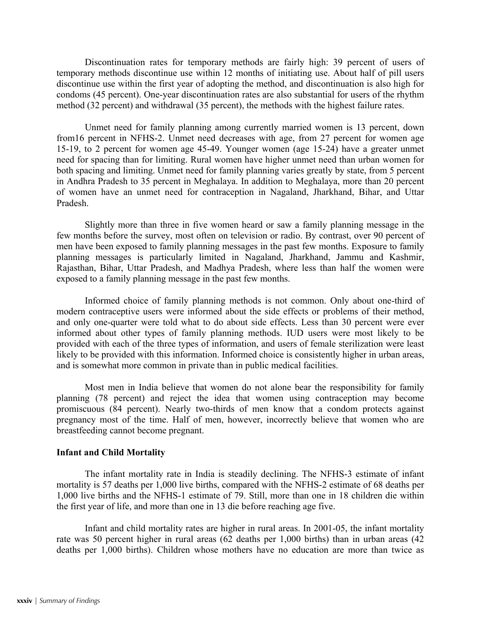Discontinuation rates for temporary methods are fairly high: 39 percent of users of temporary methods discontinue use within 12 months of initiating use. About half of pill users discontinue use within the first year of adopting the method, and discontinuation is also high for condoms (45 percent). One-year discontinuation rates are also substantial for users of the rhythm method (32 percent) and withdrawal (35 percent), the methods with the highest failure rates.

Unmet need for family planning among currently married women is 13 percent, down from16 percent in NFHS-2. Unmet need decreases with age, from 27 percent for women age 15-19, to 2 percent for women age 45-49. Younger women (age 15-24) have a greater unmet need for spacing than for limiting. Rural women have higher unmet need than urban women for both spacing and limiting. Unmet need for family planning varies greatly by state, from 5 percent in Andhra Pradesh to 35 percent in Meghalaya. In addition to Meghalaya, more than 20 percent of women have an unmet need for contraception in Nagaland, Jharkhand, Bihar, and Uttar Pradesh.

Slightly more than three in five women heard or saw a family planning message in the few months before the survey, most often on television or radio. By contrast, over 90 percent of men have been exposed to family planning messages in the past few months. Exposure to family planning messages is particularly limited in Nagaland, Jharkhand, Jammu and Kashmir, Rajasthan, Bihar, Uttar Pradesh, and Madhya Pradesh, where less than half the women were exposed to a family planning message in the past few months.

Informed choice of family planning methods is not common. Only about one-third of modern contraceptive users were informed about the side effects or problems of their method, and only one-quarter were told what to do about side effects. Less than 30 percent were ever informed about other types of family planning methods. IUD users were most likely to be provided with each of the three types of information, and users of female sterilization were least likely to be provided with this information. Informed choice is consistently higher in urban areas, and is somewhat more common in private than in public medical facilities.

Most men in India believe that women do not alone bear the responsibility for family planning (78 percent) and reject the idea that women using contraception may become promiscuous (84 percent). Nearly two-thirds of men know that a condom protects against pregnancy most of the time. Half of men, however, incorrectly believe that women who are breastfeeding cannot become pregnant.

#### **Infant and Child Mortality**

The infant mortality rate in India is steadily declining. The NFHS-3 estimate of infant mortality is 57 deaths per 1,000 live births, compared with the NFHS-2 estimate of 68 deaths per 1,000 live births and the NFHS-1 estimate of 79. Still, more than one in 18 children die within the first year of life, and more than one in 13 die before reaching age five.

Infant and child mortality rates are higher in rural areas. In 2001-05, the infant mortality rate was 50 percent higher in rural areas (62 deaths per 1,000 births) than in urban areas (42 deaths per 1,000 births). Children whose mothers have no education are more than twice as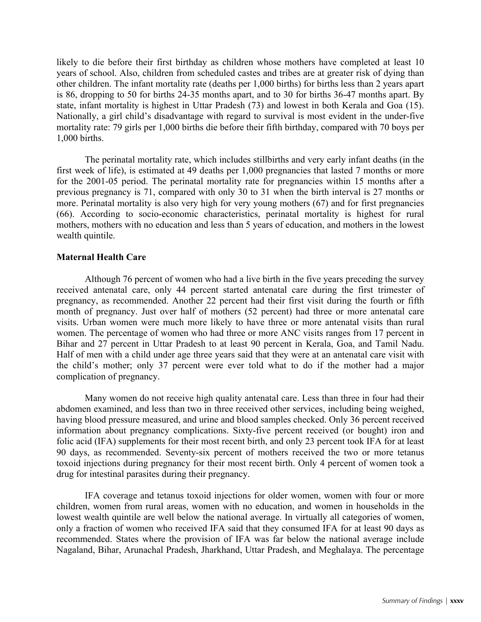likely to die before their first birthday as children whose mothers have completed at least 10 years of school. Also, children from scheduled castes and tribes are at greater risk of dying than other children. The infant mortality rate (deaths per 1,000 births) for births less than 2 years apart is 86, dropping to 50 for births 24-35 months apart, and to 30 for births 36-47 months apart. By state, infant mortality is highest in Uttar Pradesh (73) and lowest in both Kerala and Goa (15). Nationally, a girl child's disadvantage with regard to survival is most evident in the under-five mortality rate: 79 girls per 1,000 births die before their fifth birthday, compared with 70 boys per 1,000 births.

The perinatal mortality rate, which includes stillbirths and very early infant deaths (in the first week of life), is estimated at 49 deaths per 1,000 pregnancies that lasted 7 months or more for the 2001-05 period. The perinatal mortality rate for pregnancies within 15 months after a previous pregnancy is 71, compared with only 30 to 31 when the birth interval is 27 months or more. Perinatal mortality is also very high for very young mothers (67) and for first pregnancies (66). According to socio-economic characteristics, perinatal mortality is highest for rural mothers, mothers with no education and less than 5 years of education, and mothers in the lowest wealth quintile.

# **Maternal Health Care**

 Although 76 percent of women who had a live birth in the five years preceding the survey received antenatal care, only 44 percent started antenatal care during the first trimester of pregnancy, as recommended. Another 22 percent had their first visit during the fourth or fifth month of pregnancy. Just over half of mothers (52 percent) had three or more antenatal care visits. Urban women were much more likely to have three or more antenatal visits than rural women. The percentage of women who had three or more ANC visits ranges from 17 percent in Bihar and 27 percent in Uttar Pradesh to at least 90 percent in Kerala, Goa, and Tamil Nadu. Half of men with a child under age three years said that they were at an antenatal care visit with the child's mother; only 37 percent were ever told what to do if the mother had a major complication of pregnancy.

Many women do not receive high quality antenatal care. Less than three in four had their abdomen examined, and less than two in three received other services, including being weighed, having blood pressure measured, and urine and blood samples checked. Only 36 percent received information about pregnancy complications. Sixty-five percent received (or bought) iron and folic acid (IFA) supplements for their most recent birth, and only 23 percent took IFA for at least 90 days, as recommended. Seventy-six percent of mothers received the two or more tetanus toxoid injections during pregnancy for their most recent birth. Only 4 percent of women took a drug for intestinal parasites during their pregnancy.

IFA coverage and tetanus toxoid injections for older women, women with four or more children, women from rural areas, women with no education, and women in households in the lowest wealth quintile are well below the national average. In virtually all categories of women, only a fraction of women who received IFA said that they consumed IFA for at least 90 days as recommended. States where the provision of IFA was far below the national average include Nagaland, Bihar, Arunachal Pradesh, Jharkhand, Uttar Pradesh, and Meghalaya. The percentage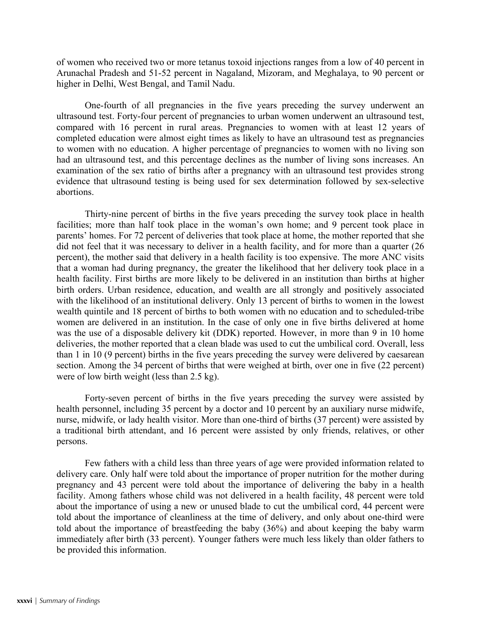of women who received two or more tetanus toxoid injections ranges from a low of 40 percent in Arunachal Pradesh and 51-52 percent in Nagaland, Mizoram, and Meghalaya, to 90 percent or higher in Delhi, West Bengal, and Tamil Nadu.

One-fourth of all pregnancies in the five years preceding the survey underwent an ultrasound test. Forty-four percent of pregnancies to urban women underwent an ultrasound test, compared with 16 percent in rural areas. Pregnancies to women with at least 12 years of completed education were almost eight times as likely to have an ultrasound test as pregnancies to women with no education. A higher percentage of pregnancies to women with no living son had an ultrasound test, and this percentage declines as the number of living sons increases. An examination of the sex ratio of births after a pregnancy with an ultrasound test provides strong evidence that ultrasound testing is being used for sex determination followed by sex-selective abortions.

Thirty-nine percent of births in the five years preceding the survey took place in health facilities; more than half took place in the woman's own home; and 9 percent took place in parents' homes. For 72 percent of deliveries that took place at home, the mother reported that she did not feel that it was necessary to deliver in a health facility, and for more than a quarter (26) percent), the mother said that delivery in a health facility is too expensive. The more ANC visits that a woman had during pregnancy, the greater the likelihood that her delivery took place in a health facility. First births are more likely to be delivered in an institution than births at higher birth orders. Urban residence, education, and wealth are all strongly and positively associated with the likelihood of an institutional delivery. Only 13 percent of births to women in the lowest wealth quintile and 18 percent of births to both women with no education and to scheduled-tribe women are delivered in an institution. In the case of only one in five births delivered at home was the use of a disposable delivery kit (DDK) reported. However, in more than 9 in 10 home deliveries, the mother reported that a clean blade was used to cut the umbilical cord. Overall, less than 1 in 10 (9 percent) births in the five years preceding the survey were delivered by caesarean section. Among the 34 percent of births that were weighed at birth, over one in five (22 percent) were of low birth weight (less than 2.5 kg).

Forty-seven percent of births in the five years preceding the survey were assisted by health personnel, including 35 percent by a doctor and 10 percent by an auxiliary nurse midwife, nurse, midwife, or lady health visitor. More than one-third of births (37 percent) were assisted by a traditional birth attendant, and 16 percent were assisted by only friends, relatives, or other persons.

Few fathers with a child less than three years of age were provided information related to delivery care. Only half were told about the importance of proper nutrition for the mother during pregnancy and 43 percent were told about the importance of delivering the baby in a health facility. Among fathers whose child was not delivered in a health facility, 48 percent were told about the importance of using a new or unused blade to cut the umbilical cord, 44 percent were told about the importance of cleanliness at the time of delivery, and only about one-third were told about the importance of breastfeeding the baby (36%) and about keeping the baby warm immediately after birth (33 percent). Younger fathers were much less likely than older fathers to be provided this information.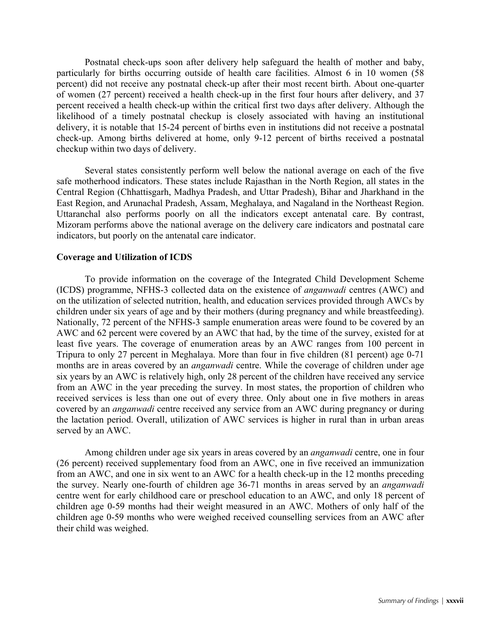Postnatal check-ups soon after delivery help safeguard the health of mother and baby, particularly for births occurring outside of health care facilities. Almost 6 in 10 women (58 percent) did not receive any postnatal check-up after their most recent birth. About one-quarter of women (27 percent) received a health check-up in the first four hours after delivery, and 37 percent received a health check-up within the critical first two days after delivery. Although the likelihood of a timely postnatal checkup is closely associated with having an institutional delivery, it is notable that 15-24 percent of births even in institutions did not receive a postnatal check-up. Among births delivered at home, only 9-12 percent of births received a postnatal checkup within two days of delivery.

Several states consistently perform well below the national average on each of the five safe motherhood indicators. These states include Rajasthan in the North Region, all states in the Central Region (Chhattisgarh, Madhya Pradesh, and Uttar Pradesh), Bihar and Jharkhand in the East Region, and Arunachal Pradesh, Assam, Meghalaya, and Nagaland in the Northeast Region. Uttaranchal also performs poorly on all the indicators except antenatal care. By contrast, Mizoram performs above the national average on the delivery care indicators and postnatal care indicators, but poorly on the antenatal care indicator.

#### **Coverage and Utilization of ICDS**

To provide information on the coverage of the Integrated Child Development Scheme (ICDS) programme, NFHS-3 collected data on the existence of *anganwadi* centres (AWC) and on the utilization of selected nutrition, health, and education services provided through AWCs by children under six years of age and by their mothers (during pregnancy and while breastfeeding). Nationally, 72 percent of the NFHS-3 sample enumeration areas were found to be covered by an AWC and 62 percent were covered by an AWC that had, by the time of the survey, existed for at least five years. The coverage of enumeration areas by an AWC ranges from 100 percent in Tripura to only 27 percent in Meghalaya. More than four in five children (81 percent) age 0-71 months are in areas covered by an *anganwadi* centre. While the coverage of children under age six years by an AWC is relatively high, only 28 percent of the children have received any service from an AWC in the year preceding the survey. In most states, the proportion of children who received services is less than one out of every three. Only about one in five mothers in areas covered by an *anganwadi* centre received any service from an AWC during pregnancy or during the lactation period. Overall, utilization of AWC services is higher in rural than in urban areas served by an AWC.

Among children under age six years in areas covered by an *anganwadi* centre, one in four (26 percent) received supplementary food from an AWC, one in five received an immunization from an AWC, and one in six went to an AWC for a health check-up in the 12 months preceding the survey. Nearly one-fourth of children age 36-71 months in areas served by an *anganwadi* centre went for early childhood care or preschool education to an AWC, and only 18 percent of children age 0-59 months had their weight measured in an AWC. Mothers of only half of the children age 0-59 months who were weighed received counselling services from an AWC after their child was weighed.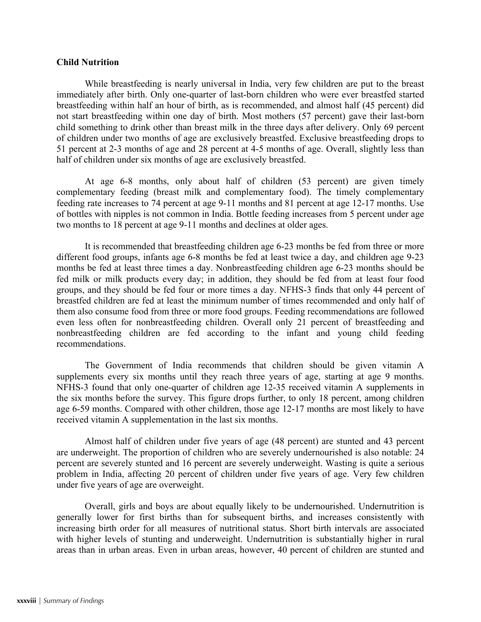# **Child Nutrition**

While breastfeeding is nearly universal in India, very few children are put to the breast immediately after birth. Only one-quarter of last-born children who were ever breastfed started breastfeeding within half an hour of birth, as is recommended, and almost half (45 percent) did not start breastfeeding within one day of birth. Most mothers (57 percent) gave their last-born child something to drink other than breast milk in the three days after delivery. Only 69 percent of children under two months of age are exclusively breastfed. Exclusive breastfeeding drops to 51 percent at 2-3 months of age and 28 percent at 4-5 months of age. Overall, slightly less than half of children under six months of age are exclusively breastfed.

At age 6-8 months, only about half of children (53 percent) are given timely complementary feeding (breast milk and complementary food). The timely complementary feeding rate increases to 74 percent at age 9-11 months and 81 percent at age 12-17 months. Use of bottles with nipples is not common in India. Bottle feeding increases from 5 percent under age two months to 18 percent at age 9-11 months and declines at older ages.

It is recommended that breastfeeding children age 6-23 months be fed from three or more different food groups, infants age 6-8 months be fed at least twice a day, and children age 9-23 months be fed at least three times a day. Nonbreastfeeding children age 6-23 months should be fed milk or milk products every day; in addition, they should be fed from at least four food groups, and they should be fed four or more times a day. NFHS-3 finds that only 44 percent of breastfed children are fed at least the minimum number of times recommended and only half of them also consume food from three or more food groups. Feeding recommendations are followed even less often for nonbreastfeeding children. Overall only 21 percent of breastfeeding and nonbreastfeeding children are fed according to the infant and young child feeding recommendations.

The Government of India recommends that children should be given vitamin A supplements every six months until they reach three years of age, starting at age 9 months. NFHS-3 found that only one-quarter of children age 12-35 received vitamin A supplements in the six months before the survey. This figure drops further, to only 18 percent, among children age 6-59 months. Compared with other children, those age 12-17 months are most likely to have received vitamin A supplementation in the last six months.

Almost half of children under five years of age (48 percent) are stunted and 43 percent are underweight. The proportion of children who are severely undernourished is also notable: 24 percent are severely stunted and 16 percent are severely underweight. Wasting is quite a serious problem in India, affecting 20 percent of children under five years of age. Very few children under five years of age are overweight.

Overall, girls and boys are about equally likely to be undernourished. Undernutrition is generally lower for first births than for subsequent births, and increases consistently with increasing birth order for all measures of nutritional status. Short birth intervals are associated with higher levels of stunting and underweight. Undernutrition is substantially higher in rural areas than in urban areas. Even in urban areas, however, 40 percent of children are stunted and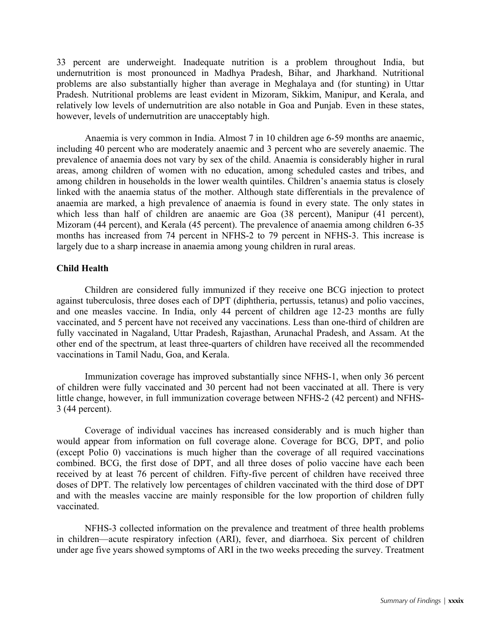33 percent are underweight. Inadequate nutrition is a problem throughout India, but undernutrition is most pronounced in Madhya Pradesh, Bihar, and Jharkhand. Nutritional problems are also substantially higher than average in Meghalaya and (for stunting) in Uttar Pradesh. Nutritional problems are least evident in Mizoram, Sikkim, Manipur, and Kerala, and relatively low levels of undernutrition are also notable in Goa and Punjab. Even in these states, however, levels of undernutrition are unacceptably high.

Anaemia is very common in India. Almost 7 in 10 children age 6-59 months are anaemic, including 40 percent who are moderately anaemic and 3 percent who are severely anaemic. The prevalence of anaemia does not vary by sex of the child. Anaemia is considerably higher in rural areas, among children of women with no education, among scheduled castes and tribes, and among children in households in the lower wealth quintiles. Children's anaemia status is closely linked with the anaemia status of the mother. Although state differentials in the prevalence of anaemia are marked, a high prevalence of anaemia is found in every state. The only states in which less than half of children are anaemic are Goa (38 percent), Manipur (41 percent), Mizoram (44 percent), and Kerala (45 percent). The prevalence of anaemia among children 6-35 months has increased from 74 percent in NFHS-2 to 79 percent in NFHS-3. This increase is largely due to a sharp increase in anaemia among young children in rural areas.

# **Child Health**

Children are considered fully immunized if they receive one BCG injection to protect against tuberculosis, three doses each of DPT (diphtheria, pertussis, tetanus) and polio vaccines, and one measles vaccine. In India, only 44 percent of children age 12-23 months are fully vaccinated, and 5 percent have not received any vaccinations. Less than one-third of children are fully vaccinated in Nagaland, Uttar Pradesh, Rajasthan, Arunachal Pradesh, and Assam. At the other end of the spectrum, at least three-quarters of children have received all the recommended vaccinations in Tamil Nadu, Goa, and Kerala.

Immunization coverage has improved substantially since NFHS-1, when only 36 percent of children were fully vaccinated and 30 percent had not been vaccinated at all. There is very little change, however, in full immunization coverage between NFHS-2 (42 percent) and NFHS-3 (44 percent).

Coverage of individual vaccines has increased considerably and is much higher than would appear from information on full coverage alone. Coverage for BCG, DPT, and polio (except Polio 0) vaccinations is much higher than the coverage of all required vaccinations combined. BCG, the first dose of DPT, and all three doses of polio vaccine have each been received by at least 76 percent of children. Fifty-five percent of children have received three doses of DPT. The relatively low percentages of children vaccinated with the third dose of DPT and with the measles vaccine are mainly responsible for the low proportion of children fully vaccinated.

NFHS-3 collected information on the prevalence and treatment of three health problems in children—acute respiratory infection (ARI), fever, and diarrhoea. Six percent of children under age five years showed symptoms of ARI in the two weeks preceding the survey. Treatment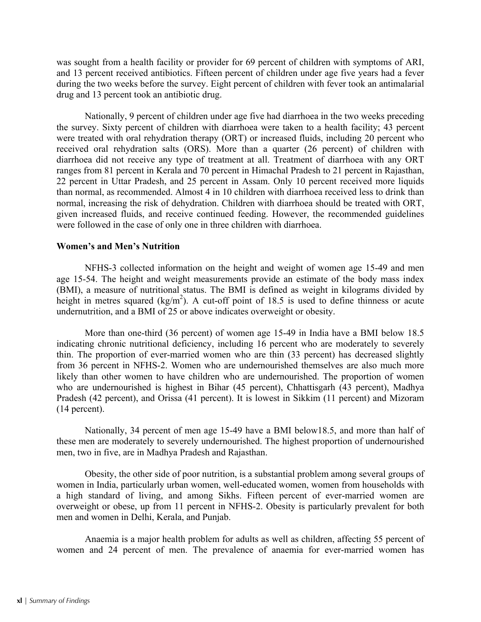was sought from a health facility or provider for 69 percent of children with symptoms of ARI, and 13 percent received antibiotics. Fifteen percent of children under age five years had a fever during the two weeks before the survey. Eight percent of children with fever took an antimalarial drug and 13 percent took an antibiotic drug.

Nationally, 9 percent of children under age five had diarrhoea in the two weeks preceding the survey. Sixty percent of children with diarrhoea were taken to a health facility; 43 percent were treated with oral rehydration therapy (ORT) or increased fluids, including 20 percent who received oral rehydration salts (ORS). More than a quarter (26 percent) of children with diarrhoea did not receive any type of treatment at all. Treatment of diarrhoea with any ORT ranges from 81 percent in Kerala and 70 percent in Himachal Pradesh to 21 percent in Rajasthan, 22 percent in Uttar Pradesh, and 25 percent in Assam. Only 10 percent received more liquids than normal, as recommended. Almost 4 in 10 children with diarrhoea received less to drink than normal, increasing the risk of dehydration. Children with diarrhoea should be treated with ORT, given increased fluids, and receive continued feeding. However, the recommended guidelines were followed in the case of only one in three children with diarrhoea.

# **Women's and Men's Nutrition**

NFHS-3 collected information on the height and weight of women age 15-49 and men age 15-54. The height and weight measurements provide an estimate of the body mass index (BMI), a measure of nutritional status. The BMI is defined as weight in kilograms divided by height in metres squared (kg/m<sup>2</sup>). A cut-off point of 18.5 is used to define thinness or acute undernutrition, and a BMI of 25 or above indicates overweight or obesity.

More than one-third (36 percent) of women age 15-49 in India have a BMI below 18.5 indicating chronic nutritional deficiency, including 16 percent who are moderately to severely thin. The proportion of ever-married women who are thin (33 percent) has decreased slightly from 36 percent in NFHS-2. Women who are undernourished themselves are also much more likely than other women to have children who are undernourished. The proportion of women who are undernourished is highest in Bihar (45 percent), Chhattisgarh (43 percent), Madhya Pradesh (42 percent), and Orissa (41 percent). It is lowest in Sikkim (11 percent) and Mizoram (14 percent).

Nationally, 34 percent of men age 15-49 have a BMI below18.5, and more than half of these men are moderately to severely undernourished. The highest proportion of undernourished men, two in five, are in Madhya Pradesh and Rajasthan.

Obesity, the other side of poor nutrition, is a substantial problem among several groups of women in India, particularly urban women, well-educated women, women from households with a high standard of living, and among Sikhs. Fifteen percent of ever-married women are overweight or obese, up from 11 percent in NFHS-2. Obesity is particularly prevalent for both men and women in Delhi, Kerala, and Punjab.

Anaemia is a major health problem for adults as well as children, affecting 55 percent of women and 24 percent of men. The prevalence of anaemia for ever-married women has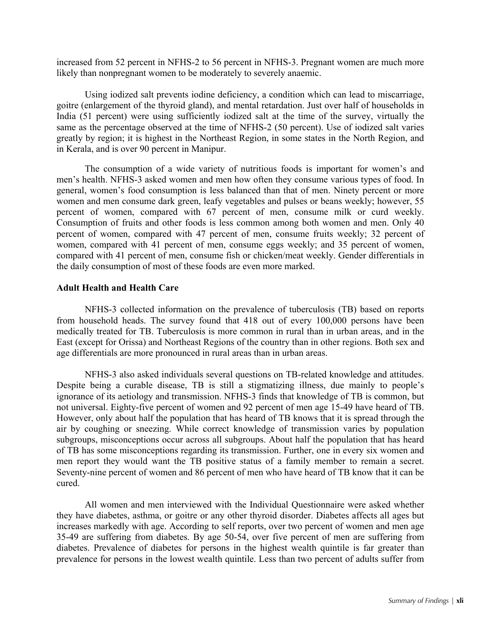increased from 52 percent in NFHS-2 to 56 percent in NFHS-3. Pregnant women are much more likely than nonpregnant women to be moderately to severely anaemic.

Using iodized salt prevents iodine deficiency, a condition which can lead to miscarriage, goitre (enlargement of the thyroid gland), and mental retardation. Just over half of households in India (51 percent) were using sufficiently iodized salt at the time of the survey, virtually the same as the percentage observed at the time of NFHS-2 (50 percent). Use of iodized salt varies greatly by region; it is highest in the Northeast Region, in some states in the North Region, and in Kerala, and is over 90 percent in Manipur.

The consumption of a wide variety of nutritious foods is important for women's and men's health. NFHS-3 asked women and men how often they consume various types of food. In general, women's food consumption is less balanced than that of men. Ninety percent or more women and men consume dark green, leafy vegetables and pulses or beans weekly; however, 55 percent of women, compared with 67 percent of men, consume milk or curd weekly. Consumption of fruits and other foods is less common among both women and men. Only 40 percent of women, compared with 47 percent of men, consume fruits weekly; 32 percent of women, compared with 41 percent of men, consume eggs weekly; and 35 percent of women, compared with 41 percent of men, consume fish or chicken/meat weekly. Gender differentials in the daily consumption of most of these foods are even more marked.

### **Adult Health and Health Care**

NFHS-3 collected information on the prevalence of tuberculosis (TB) based on reports from household heads. The survey found that 418 out of every 100,000 persons have been medically treated for TB. Tuberculosis is more common in rural than in urban areas, and in the East (except for Orissa) and Northeast Regions of the country than in other regions. Both sex and age differentials are more pronounced in rural areas than in urban areas.

NFHS-3 also asked individuals several questions on TB-related knowledge and attitudes. Despite being a curable disease, TB is still a stigmatizing illness, due mainly to people's ignorance of its aetiology and transmission. NFHS-3 finds that knowledge of TB is common, but not universal. Eighty-five percent of women and 92 percent of men age 15-49 have heard of TB. However, only about half the population that has heard of TB knows that it is spread through the air by coughing or sneezing. While correct knowledge of transmission varies by population subgroups, misconceptions occur across all subgroups. About half the population that has heard of TB has some misconceptions regarding its transmission. Further, one in every six women and men report they would want the TB positive status of a family member to remain a secret. Seventy-nine percent of women and 86 percent of men who have heard of TB know that it can be cured.

All women and men interviewed with the Individual Questionnaire were asked whether they have diabetes, asthma, or goitre or any other thyroid disorder. Diabetes affects all ages but increases markedly with age. According to self reports, over two percent of women and men age 35-49 are suffering from diabetes. By age 50-54, over five percent of men are suffering from diabetes. Prevalence of diabetes for persons in the highest wealth quintile is far greater than prevalence for persons in the lowest wealth quintile. Less than two percent of adults suffer from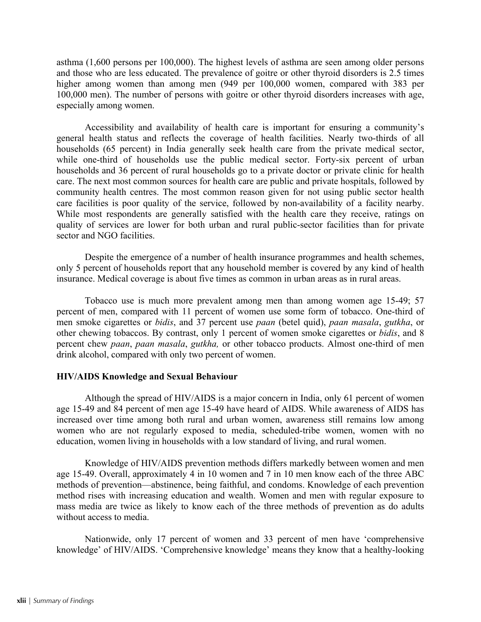asthma (1,600 persons per 100,000). The highest levels of asthma are seen among older persons and those who are less educated. The prevalence of goitre or other thyroid disorders is 2.5 times higher among women than among men (949 per 100,000 women, compared with 383 per 100,000 men). The number of persons with goitre or other thyroid disorders increases with age, especially among women.

Accessibility and availability of health care is important for ensuring a community's general health status and reflects the coverage of health facilities. Nearly two-thirds of all households (65 percent) in India generally seek health care from the private medical sector, while one-third of households use the public medical sector. Forty-six percent of urban households and 36 percent of rural households go to a private doctor or private clinic for health care. The next most common sources for health care are public and private hospitals, followed by community health centres. The most common reason given for not using public sector health care facilities is poor quality of the service, followed by non-availability of a facility nearby. While most respondents are generally satisfied with the health care they receive, ratings on quality of services are lower for both urban and rural public-sector facilities than for private sector and NGO facilities.

Despite the emergence of a number of health insurance programmes and health schemes, only 5 percent of households report that any household member is covered by any kind of health insurance. Medical coverage is about five times as common in urban areas as in rural areas.

Tobacco use is much more prevalent among men than among women age 15-49; 57 percent of men, compared with 11 percent of women use some form of tobacco. One-third of men smoke cigarettes or *bidis*, and 37 percent use *paan* (betel quid), *paan masala*, *gutkha*, or other chewing tobaccos. By contrast, only 1 percent of women smoke cigarettes or *bidis*, and 8 percent chew *paan*, *paan masala*, *gutkha,* or other tobacco products. Almost one-third of men drink alcohol, compared with only two percent of women.

# **HIV/AIDS Knowledge and Sexual Behaviour**

Although the spread of HIV/AIDS is a major concern in India, only 61 percent of women age 15-49 and 84 percent of men age 15-49 have heard of AIDS. While awareness of AIDS has increased over time among both rural and urban women, awareness still remains low among women who are not regularly exposed to media, scheduled-tribe women, women with no education, women living in households with a low standard of living, and rural women.

Knowledge of HIV/AIDS prevention methods differs markedly between women and men age 15-49. Overall, approximately 4 in 10 women and 7 in 10 men know each of the three ABC methods of prevention—abstinence, being faithful, and condoms. Knowledge of each prevention method rises with increasing education and wealth. Women and men with regular exposure to mass media are twice as likely to know each of the three methods of prevention as do adults without access to media.

Nationwide, only 17 percent of women and 33 percent of men have 'comprehensive knowledge' of HIV/AIDS. 'Comprehensive knowledge' means they know that a healthy-looking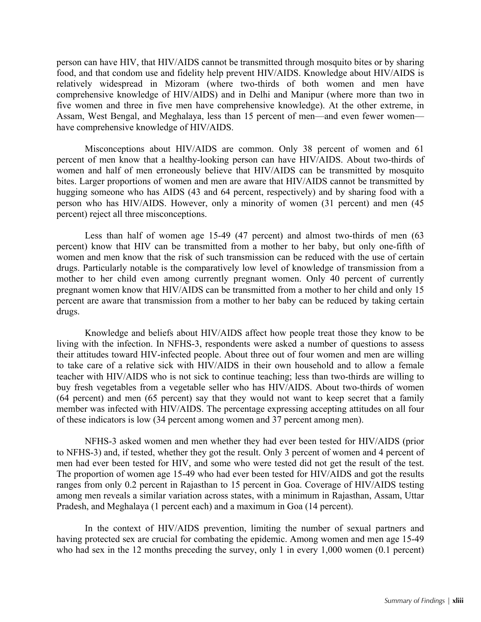person can have HIV, that HIV/AIDS cannot be transmitted through mosquito bites or by sharing food, and that condom use and fidelity help prevent HIV/AIDS. Knowledge about HIV/AIDS is relatively widespread in Mizoram (where two-thirds of both women and men have comprehensive knowledge of HIV/AIDS) and in Delhi and Manipur (where more than two in five women and three in five men have comprehensive knowledge). At the other extreme, in Assam, West Bengal, and Meghalaya, less than 15 percent of men—and even fewer women have comprehensive knowledge of HIV/AIDS.

Misconceptions about HIV/AIDS are common. Only 38 percent of women and 61 percent of men know that a healthy-looking person can have HIV/AIDS. About two-thirds of women and half of men erroneously believe that HIV/AIDS can be transmitted by mosquito bites. Larger proportions of women and men are aware that HIV/AIDS cannot be transmitted by hugging someone who has AIDS (43 and 64 percent, respectively) and by sharing food with a person who has HIV/AIDS. However, only a minority of women (31 percent) and men (45 percent) reject all three misconceptions.

Less than half of women age 15-49 (47 percent) and almost two-thirds of men (63 percent) know that HIV can be transmitted from a mother to her baby, but only one-fifth of women and men know that the risk of such transmission can be reduced with the use of certain drugs. Particularly notable is the comparatively low level of knowledge of transmission from a mother to her child even among currently pregnant women. Only 40 percent of currently pregnant women know that HIV/AIDS can be transmitted from a mother to her child and only 15 percent are aware that transmission from a mother to her baby can be reduced by taking certain drugs.

Knowledge and beliefs about HIV/AIDS affect how people treat those they know to be living with the infection. In NFHS-3, respondents were asked a number of questions to assess their attitudes toward HIV-infected people. About three out of four women and men are willing to take care of a relative sick with HIV/AIDS in their own household and to allow a female teacher with HIV/AIDS who is not sick to continue teaching; less than two-thirds are willing to buy fresh vegetables from a vegetable seller who has HIV/AIDS. About two-thirds of women (64 percent) and men (65 percent) say that they would not want to keep secret that a family member was infected with HIV/AIDS. The percentage expressing accepting attitudes on all four of these indicators is low (34 percent among women and 37 percent among men).

NFHS-3 asked women and men whether they had ever been tested for HIV/AIDS (prior to NFHS-3) and, if tested, whether they got the result. Only 3 percent of women and 4 percent of men had ever been tested for HIV, and some who were tested did not get the result of the test. The proportion of women age 15-49 who had ever been tested for HIV/AIDS and got the results ranges from only 0.2 percent in Rajasthan to 15 percent in Goa. Coverage of HIV/AIDS testing among men reveals a similar variation across states, with a minimum in Rajasthan, Assam, Uttar Pradesh, and Meghalaya (1 percent each) and a maximum in Goa (14 percent).

In the context of HIV/AIDS prevention, limiting the number of sexual partners and having protected sex are crucial for combating the epidemic. Among women and men age 15-49 who had sex in the 12 months preceding the survey, only 1 in every 1,000 women (0.1 percent)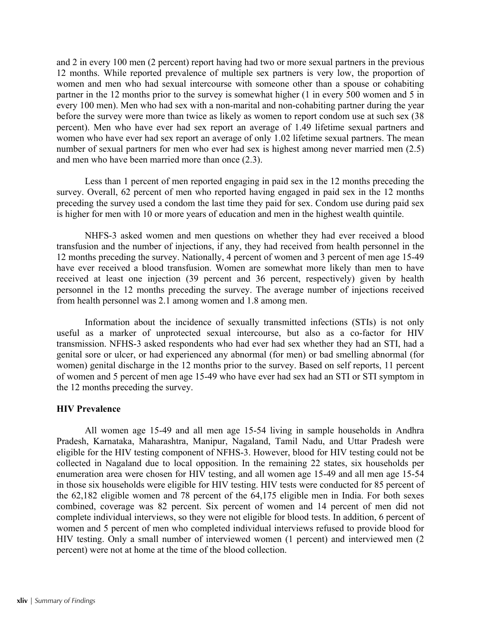and 2 in every 100 men (2 percent) report having had two or more sexual partners in the previous 12 months. While reported prevalence of multiple sex partners is very low, the proportion of women and men who had sexual intercourse with someone other than a spouse or cohabiting partner in the 12 months prior to the survey is somewhat higher (1 in every 500 women and 5 in every 100 men). Men who had sex with a non-marital and non-cohabiting partner during the year before the survey were more than twice as likely as women to report condom use at such sex (38 percent). Men who have ever had sex report an average of 1.49 lifetime sexual partners and women who have ever had sex report an average of only 1.02 lifetime sexual partners. The mean number of sexual partners for men who ever had sex is highest among never married men (2.5) and men who have been married more than once (2.3).

Less than 1 percent of men reported engaging in paid sex in the 12 months preceding the survey. Overall, 62 percent of men who reported having engaged in paid sex in the 12 months preceding the survey used a condom the last time they paid for sex. Condom use during paid sex is higher for men with 10 or more years of education and men in the highest wealth quintile.

NHFS-3 asked women and men questions on whether they had ever received a blood transfusion and the number of injections, if any, they had received from health personnel in the 12 months preceding the survey. Nationally, 4 percent of women and 3 percent of men age 15-49 have ever received a blood transfusion. Women are somewhat more likely than men to have received at least one injection (39 percent and 36 percent, respectively) given by health personnel in the 12 months preceding the survey. The average number of injections received from health personnel was 2.1 among women and 1.8 among men.

Information about the incidence of sexually transmitted infections (STIs) is not only useful as a marker of unprotected sexual intercourse, but also as a co-factor for HIV transmission. NFHS-3 asked respondents who had ever had sex whether they had an STI, had a genital sore or ulcer, or had experienced any abnormal (for men) or bad smelling abnormal (for women) genital discharge in the 12 months prior to the survey. Based on self reports, 11 percent of women and 5 percent of men age 15-49 who have ever had sex had an STI or STI symptom in the 12 months preceding the survey.

# **HIV Prevalence**

All women age 15-49 and all men age 15-54 living in sample households in Andhra Pradesh, Karnataka, Maharashtra, Manipur, Nagaland, Tamil Nadu, and Uttar Pradesh were eligible for the HIV testing component of NFHS-3. However, blood for HIV testing could not be collected in Nagaland due to local opposition. In the remaining 22 states, six households per enumeration area were chosen for HIV testing, and all women age 15-49 and all men age 15-54 in those six households were eligible for HIV testing. HIV tests were conducted for 85 percent of the 62,182 eligible women and 78 percent of the 64,175 eligible men in India. For both sexes combined, coverage was 82 percent. Six percent of women and 14 percent of men did not complete individual interviews, so they were not eligible for blood tests. In addition, 6 percent of women and 5 percent of men who completed individual interviews refused to provide blood for HIV testing. Only a small number of interviewed women (1 percent) and interviewed men (2 percent) were not at home at the time of the blood collection.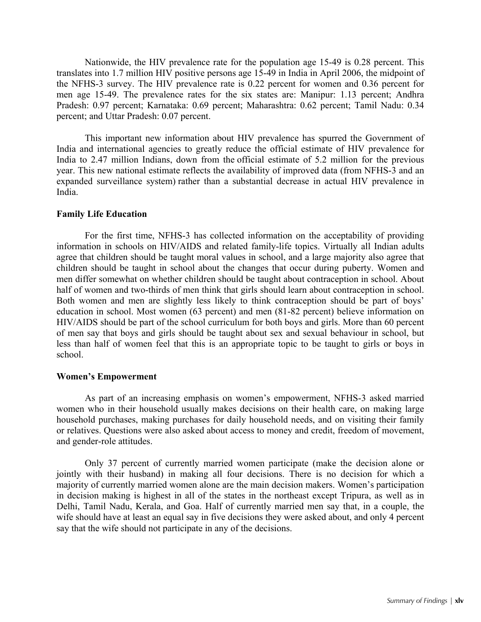Nationwide, the HIV prevalence rate for the population age 15-49 is 0.28 percent. This translates into 1.7 million HIV positive persons age 15-49 in India in April 2006, the midpoint of the NFHS-3 survey. The HIV prevalence rate is 0.22 percent for women and 0.36 percent for men age 15-49. The prevalence rates for the six states are: Manipur: 1.13 percent; Andhra Pradesh: 0.97 percent; Karnataka: 0.69 percent; Maharashtra: 0.62 percent; Tamil Nadu: 0.34 percent; and Uttar Pradesh: 0.07 percent.

This important new information about HIV prevalence has spurred the Government of India and international agencies to greatly reduce the official estimate of HIV prevalence for India to 2.47 million Indians, down from the official estimate of 5.2 million for the previous year. This new national estimate reflects the availability of improved data (from NFHS-3 and an expanded surveillance system) rather than a substantial decrease in actual HIV prevalence in India.

### **Family Life Education**

For the first time, NFHS-3 has collected information on the acceptability of providing information in schools on HIV/AIDS and related family-life topics. Virtually all Indian adults agree that children should be taught moral values in school, and a large majority also agree that children should be taught in school about the changes that occur during puberty. Women and men differ somewhat on whether children should be taught about contraception in school. About half of women and two-thirds of men think that girls should learn about contraception in school. Both women and men are slightly less likely to think contraception should be part of boys' education in school. Most women (63 percent) and men (81-82 percent) believe information on HIV/AIDS should be part of the school curriculum for both boys and girls. More than 60 percent of men say that boys and girls should be taught about sex and sexual behaviour in school, but less than half of women feel that this is an appropriate topic to be taught to girls or boys in school.

### **Women's Empowerment**

 As part of an increasing emphasis on women's empowerment, NFHS-3 asked married women who in their household usually makes decisions on their health care, on making large household purchases, making purchases for daily household needs, and on visiting their family or relatives. Questions were also asked about access to money and credit, freedom of movement, and gender-role attitudes.

Only 37 percent of currently married women participate (make the decision alone or jointly with their husband) in making all four decisions. There is no decision for which a majority of currently married women alone are the main decision makers. Women's participation in decision making is highest in all of the states in the northeast except Tripura, as well as in Delhi, Tamil Nadu, Kerala, and Goa. Half of currently married men say that, in a couple, the wife should have at least an equal say in five decisions they were asked about, and only 4 percent say that the wife should not participate in any of the decisions.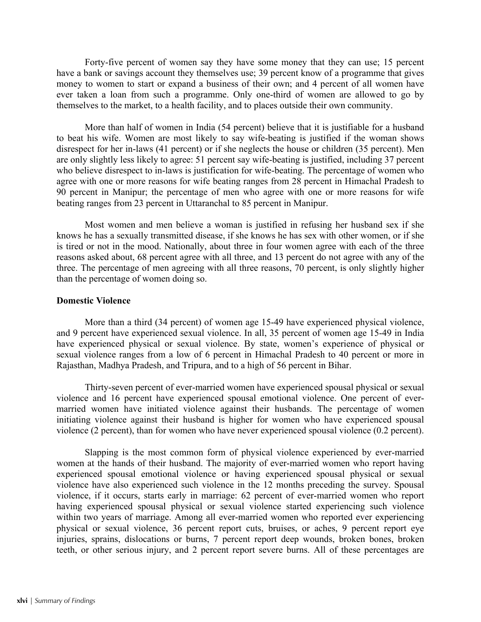Forty-five percent of women say they have some money that they can use; 15 percent have a bank or savings account they themselves use; 39 percent know of a programme that gives money to women to start or expand a business of their own; and 4 percent of all women have ever taken a loan from such a programme. Only one-third of women are allowed to go by themselves to the market, to a health facility, and to places outside their own community.

More than half of women in India (54 percent) believe that it is justifiable for a husband to beat his wife. Women are most likely to say wife-beating is justified if the woman shows disrespect for her in-laws (41 percent) or if she neglects the house or children (35 percent). Men are only slightly less likely to agree: 51 percent say wife-beating is justified, including 37 percent who believe disrespect to in-laws is justification for wife-beating. The percentage of women who agree with one or more reasons for wife beating ranges from 28 percent in Himachal Pradesh to 90 percent in Manipur; the percentage of men who agree with one or more reasons for wife beating ranges from 23 percent in Uttaranchal to 85 percent in Manipur.

Most women and men believe a woman is justified in refusing her husband sex if she knows he has a sexually transmitted disease, if she knows he has sex with other women, or if she is tired or not in the mood. Nationally, about three in four women agree with each of the three reasons asked about, 68 percent agree with all three, and 13 percent do not agree with any of the three. The percentage of men agreeing with all three reasons, 70 percent, is only slightly higher than the percentage of women doing so.

### **Domestic Violence**

More than a third (34 percent) of women age 15-49 have experienced physical violence, and 9 percent have experienced sexual violence. In all, 35 percent of women age 15-49 in India have experienced physical or sexual violence. By state, women's experience of physical or sexual violence ranges from a low of 6 percent in Himachal Pradesh to 40 percent or more in Rajasthan, Madhya Pradesh, and Tripura, and to a high of 56 percent in Bihar.

Thirty-seven percent of ever-married women have experienced spousal physical or sexual violence and 16 percent have experienced spousal emotional violence. One percent of evermarried women have initiated violence against their husbands. The percentage of women initiating violence against their husband is higher for women who have experienced spousal violence (2 percent), than for women who have never experienced spousal violence (0.2 percent).

Slapping is the most common form of physical violence experienced by ever-married women at the hands of their husband. The majority of ever-married women who report having experienced spousal emotional violence or having experienced spousal physical or sexual violence have also experienced such violence in the 12 months preceding the survey. Spousal violence, if it occurs, starts early in marriage: 62 percent of ever-married women who report having experienced spousal physical or sexual violence started experiencing such violence within two years of marriage. Among all ever-married women who reported ever experiencing physical or sexual violence, 36 percent report cuts, bruises, or aches, 9 percent report eye injuries, sprains, dislocations or burns, 7 percent report deep wounds, broken bones, broken teeth, or other serious injury, and 2 percent report severe burns. All of these percentages are